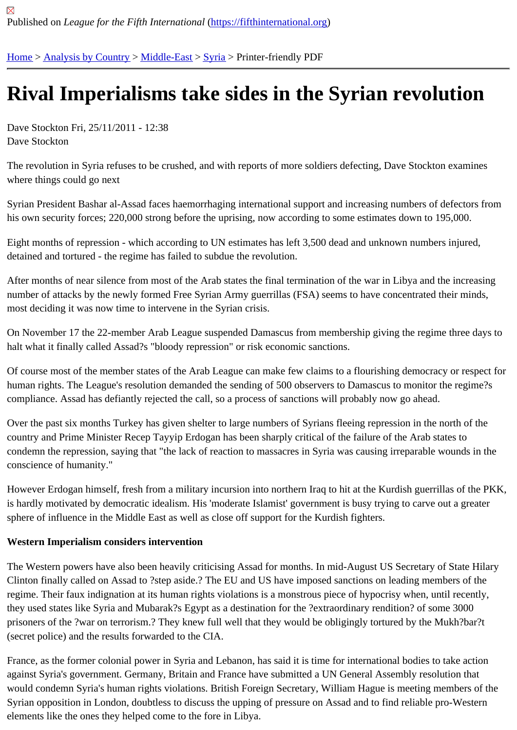## [Riv](https://fifthinternational.org/)[al Imperial](https://fifthinternational.org/category/1)i[sms ta](https://fifthinternational.org/category/1/178)[ke](https://fifthinternational.org/category/1/178/196) sides in the Syrian revolution

Dave Stockton Fri, 25/11/2011 - 12:38 Dave Stockton

The revolution in Syria refuses to be crushed, and with reports of more soldiers defecting, Dave Stockton examine where things could go next

Syrian President Bashar al-Assad faces haemorrhaging international support and increasing numbers of defectors his own security forces; 220,000 strong before the uprising, now according to some estimates down to 195,000.

Eight months of repression - which according to UN estimates has left 3,500 dead and unknown numbers injured, detained and tortured - the regime has failed to subdue the revolution.

After months of near silence from most of the Arab states the final termination of the war in Libya and the increasir number of attacks by the newly formed Free Syrian Army guerrillas (FSA) seems to have concentrated their minds, most deciding it was now time to intervene in the Syrian crisis.

On November 17 the 22-member Arab League suspended Damascus from membership giving the regime three day halt what it finally called Assad?s "bloody repression" or risk economic sanctions.

Of course most of the member states of the Arab League can make few claims to a flourishing democracy or respe human rights. The League's resolution demanded the sending of 500 observers to Damascus to monitor the regime compliance. Assad has defiantly rejected the call, so a process of sanctions will probably now go ahead.

Over the past six months Turkey has given shelter to large numbers of Syrians fleeing repression in the north of the country and Prime Minister Recep Tayyip Erdogan has been sharply critical of the failure of the Arab states to condemn the repression, saying that "the lack of reaction to massacres in Syria was causing irreparable wounds ir conscience of humanity."

However Erdogan himself, fresh from a military incursion into northern Iraq to hit at the Kurdish guerrillas of the Pk is hardly motivated by democratic idealism. His 'moderate Islamist' government is busy trying to carve out a greate sphere of influence in the Middle East as well as close off support for the Kurdish fighters.

Western Imperialism considers intervention

The Western powers have also been heavily criticising Assad for months. In mid-August US Secretary of State Hil Clinton finally called on Assad to ?step aside.? The EU and US have imposed sanctions on leading members of th regime. Their faux indignation at its human rights violations is a monstrous piece of hypocrisy when, until recently, they used states like Syria and Mubarak?s Egypt as a destination for the ?extraordinary rendition? of some 3000 prisoners of the ?war on terrorism.? They knew full well that they would be obligingly tortured by the Mukh?bar?t (secret police) and the results forwarded to the CIA.

France, as the former colonial power in Syria and Lebanon, has said it is time for international bodies to take action against Syria's government. Germany, Britain and France have submitted a UN General Assembly resolution that would condemn Syria's human rights violations. British Foreign Secretary, William Hague is meeting members of t Syrian opposition in London, doubtless to discuss the upping of pressure on Assad and to find reliable pro-Wester elements like the ones they helped come to the fore in Libya.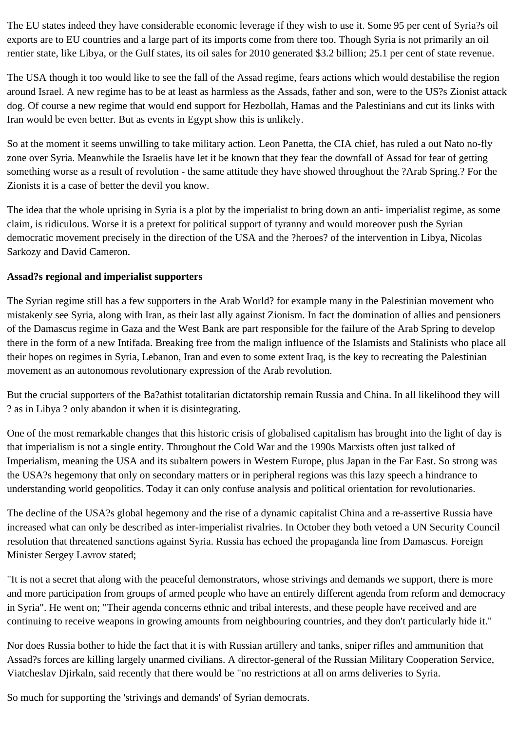The EU states indeed they have considerable economic leverage if they wish to use it. Some 95 per cent of Syria?s oil exports are to EU countries and a large part of its imports come from there too. Though Syria is not primarily an oil rentier state, like Libya, or the Gulf states, its oil sales for 2010 generated \$3.2 billion; 25.1 per cent of state revenue.

The USA though it too would like to see the fall of the Assad regime, fears actions which would destabilise the region around Israel. A new regime has to be at least as harmless as the Assads, father and son, were to the US?s Zionist attack dog. Of course a new regime that would end support for Hezbollah, Hamas and the Palestinians and cut its links with Iran would be even better. But as events in Egypt show this is unlikely.

So at the moment it seems unwilling to take military action. Leon Panetta, the CIA chief, has ruled a out Nato no-fly zone over Syria. Meanwhile the Israelis have let it be known that they fear the downfall of Assad for fear of getting something worse as a result of revolution - the same attitude they have showed throughout the ?Arab Spring.? For the Zionists it is a case of better the devil you know.

The idea that the whole uprising in Syria is a plot by the imperialist to bring down an anti- imperialist regime, as some claim, is ridiculous. Worse it is a pretext for political support of tyranny and would moreover push the Syrian democratic movement precisely in the direction of the USA and the ?heroes? of the intervention in Libya, Nicolas Sarkozy and David Cameron.

## **Assad?s regional and imperialist supporters**

The Syrian regime still has a few supporters in the Arab World? for example many in the Palestinian movement who mistakenly see Syria, along with Iran, as their last ally against Zionism. In fact the domination of allies and pensioners of the Damascus regime in Gaza and the West Bank are part responsible for the failure of the Arab Spring to develop there in the form of a new Intifada. Breaking free from the malign influence of the Islamists and Stalinists who place all their hopes on regimes in Syria, Lebanon, Iran and even to some extent Iraq, is the key to recreating the Palestinian movement as an autonomous revolutionary expression of the Arab revolution.

But the crucial supporters of the Ba?athist totalitarian dictatorship remain Russia and China. In all likelihood they will ? as in Libya ? only abandon it when it is disintegrating.

One of the most remarkable changes that this historic crisis of globalised capitalism has brought into the light of day is that imperialism is not a single entity. Throughout the Cold War and the 1990s Marxists often just talked of Imperialism, meaning the USA and its subaltern powers in Western Europe, plus Japan in the Far East. So strong was the USA?s hegemony that only on secondary matters or in peripheral regions was this lazy speech a hindrance to understanding world geopolitics. Today it can only confuse analysis and political orientation for revolutionaries.

The decline of the USA?s global hegemony and the rise of a dynamic capitalist China and a re-assertive Russia have increased what can only be described as inter-imperialist rivalries. In October they both vetoed a UN Security Council resolution that threatened sanctions against Syria. Russia has echoed the propaganda line from Damascus. Foreign Minister Sergey Lavrov stated;

"It is not a secret that along with the peaceful demonstrators, whose strivings and demands we support, there is more and more participation from groups of armed people who have an entirely different agenda from reform and democracy in Syria". He went on; "Their agenda concerns ethnic and tribal interests, and these people have received and are continuing to receive weapons in growing amounts from neighbouring countries, and they don't particularly hide it."

Nor does Russia bother to hide the fact that it is with Russian artillery and tanks, sniper rifles and ammunition that Assad?s forces are killing largely unarmed civilians. A director-general of the Russian Military Cooperation Service, Viatcheslav Djirkaln, said recently that there would be "no restrictions at all on arms deliveries to Syria.

So much for supporting the 'strivings and demands' of Syrian democrats.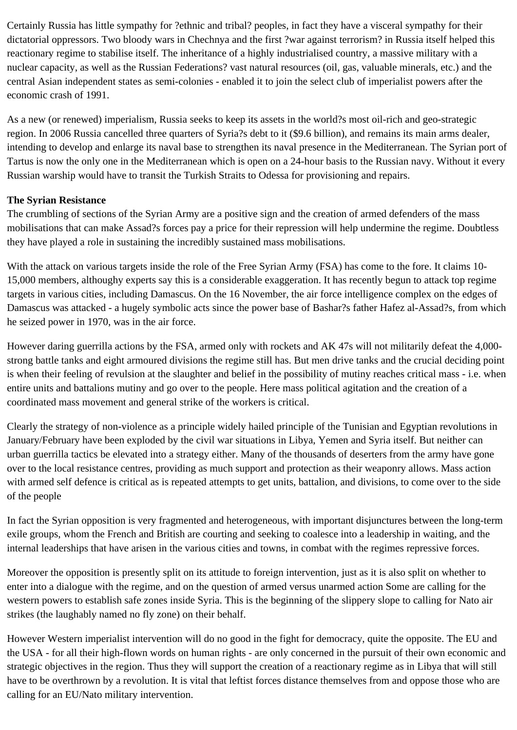Certainly Russia has little sympathy for ?ethnic and tribal? peoples, in fact they have a visceral sympathy for their dictatorial oppressors. Two bloody wars in Chechnya and the first ?war against terrorism? in Russia itself helped this reactionary regime to stabilise itself. The inheritance of a highly industrialised country, a massive military with a nuclear capacity, as well as the Russian Federations? vast natural resources (oil, gas, valuable minerals, etc.) and the central Asian independent states as semi-colonies - enabled it to join the select club of imperialist powers after the economic crash of 1991.

As a new (or renewed) imperialism, Russia seeks to keep its assets in the world?s most oil-rich and geo-strategic region. In 2006 Russia cancelled three quarters of Syria?s debt to it (\$9.6 billion), and remains its main arms dealer, intending to develop and enlarge its naval base to strengthen its naval presence in the Mediterranean. The Syrian port of Tartus is now the only one in the Mediterranean which is open on a 24-hour basis to the Russian navy. Without it every Russian warship would have to transit the Turkish Straits to Odessa for provisioning and repairs.

## **The Syrian Resistance**

The crumbling of sections of the Syrian Army are a positive sign and the creation of armed defenders of the mass mobilisations that can make Assad?s forces pay a price for their repression will help undermine the regime. Doubtless they have played a role in sustaining the incredibly sustained mass mobilisations.

With the attack on various targets inside the role of the Free Syrian Army (FSA) has come to the fore. It claims 10- 15,000 members, althoughy experts say this is a considerable exaggeration. It has recently begun to attack top regime targets in various cities, including Damascus. On the 16 November, the air force intelligence complex on the edges of Damascus was attacked - a hugely symbolic acts since the power base of Bashar?s father Hafez al-Assad?s, from which he seized power in 1970, was in the air force.

However daring guerrilla actions by the FSA, armed only with rockets and AK 47s will not militarily defeat the 4,000 strong battle tanks and eight armoured divisions the regime still has. But men drive tanks and the crucial deciding point is when their feeling of revulsion at the slaughter and belief in the possibility of mutiny reaches critical mass - i.e. when entire units and battalions mutiny and go over to the people. Here mass political agitation and the creation of a coordinated mass movement and general strike of the workers is critical.

Clearly the strategy of non-violence as a principle widely hailed principle of the Tunisian and Egyptian revolutions in January/February have been exploded by the civil war situations in Libya, Yemen and Syria itself. But neither can urban guerrilla tactics be elevated into a strategy either. Many of the thousands of deserters from the army have gone over to the local resistance centres, providing as much support and protection as their weaponry allows. Mass action with armed self defence is critical as is repeated attempts to get units, battalion, and divisions, to come over to the side of the people

In fact the Syrian opposition is very fragmented and heterogeneous, with important disjunctures between the long-term exile groups, whom the French and British are courting and seeking to coalesce into a leadership in waiting, and the internal leaderships that have arisen in the various cities and towns, in combat with the regimes repressive forces.

Moreover the opposition is presently split on its attitude to foreign intervention, just as it is also split on whether to enter into a dialogue with the regime, and on the question of armed versus unarmed action Some are calling for the western powers to establish safe zones inside Syria. This is the beginning of the slippery slope to calling for Nato air strikes (the laughably named no fly zone) on their behalf.

However Western imperialist intervention will do no good in the fight for democracy, quite the opposite. The EU and the USA - for all their high-flown words on human rights - are only concerned in the pursuit of their own economic and strategic objectives in the region. Thus they will support the creation of a reactionary regime as in Libya that will still have to be overthrown by a revolution. It is vital that leftist forces distance themselves from and oppose those who are calling for an EU/Nato military intervention.